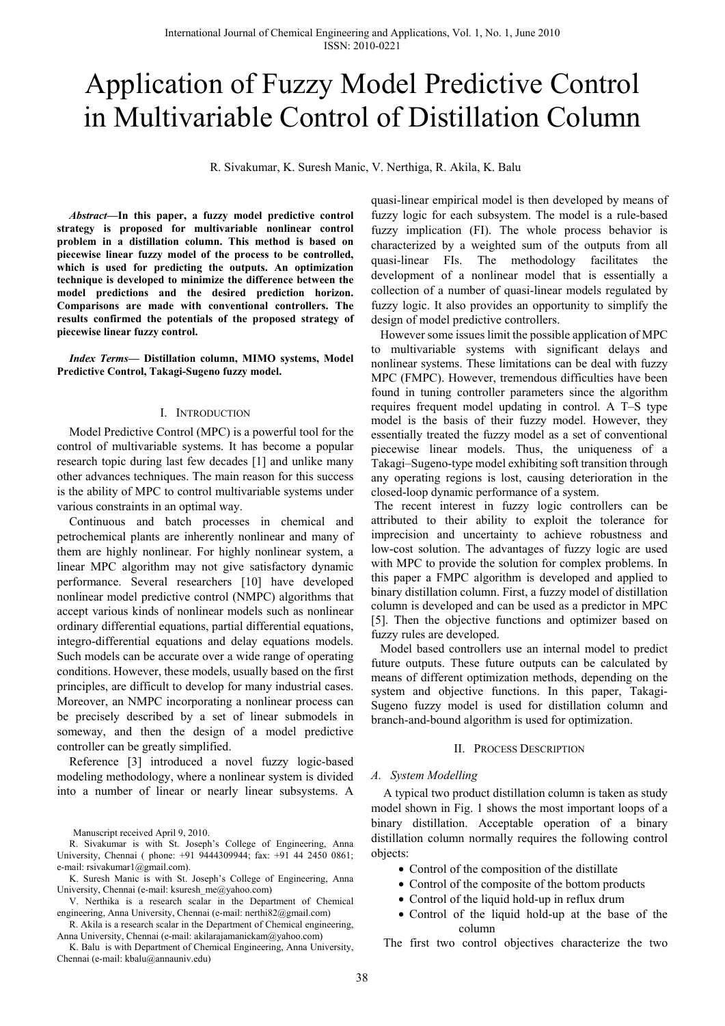# Application of Fuzzy Model Predictive Control in Multivariable Control of Distillation Column

R. Sivakumar, K. Suresh Manic, V. Nerthiga, R. Akila, K. Balu

*Abstract***—In this paper, a fuzzy model predictive control strategy is proposed for multivariable nonlinear control problem in a distillation column. This method is based on piecewise linear fuzzy model of the process to be controlled, which is used for predicting the outputs. An optimization technique is developed to minimize the difference between the model predictions and the desired prediction horizon. Comparisons are made with conventional controllers. The results confirmed the potentials of the proposed strategy of piecewise linear fuzzy control.** 

*Index Terms***— Distillation column, MIMO systems, Model Predictive Control, Takagi-Sugeno fuzzy model.** 

### I. INTRODUCTION

Model Predictive Control (MPC) is a powerful tool for the control of multivariable systems. It has become a popular research topic during last few decades [1] and unlike many other advances techniques. The main reason for this success is the ability of MPC to control multivariable systems under various constraints in an optimal way.

Continuous and batch processes in chemical and petrochemical plants are inherently nonlinear and many of them are highly nonlinear. For highly nonlinear system, a linear MPC algorithm may not give satisfactory dynamic performance. Several researchers [10] have developed nonlinear model predictive control (NMPC) algorithms that accept various kinds of nonlinear models such as nonlinear ordinary differential equations, partial differential equations, integro-differential equations and delay equations models. Such models can be accurate over a wide range of operating conditions. However, these models, usually based on the first principles, are difficult to develop for many industrial cases. Moreover, an NMPC incorporating a nonlinear process can be precisely described by a set of linear submodels in someway, and then the design of a model predictive controller can be greatly simplified.

Reference [3] introduced a novel fuzzy logic-based modeling methodology, where a nonlinear system is divided into a number of linear or nearly linear subsystems. A

Manuscript received April 9, 2010.

R. Sivakumar is with St. Joseph's College of Engineering, Anna University, Chennai ( phone: +91 9444309944; fax: +91 44 2450 0861; e-mail: rsivakumar1@gmail.com).

R. Akila is a research scalar in the Department of Chemical engineering, Anna University, Chennai (e-mail: akilarajamanickam@yahoo.com)

K. Balu is with Department of Chemical Engineering, Anna University, Chennai (e-mail: kbalu@annauniv.edu)

quasi-linear empirical model is then developed by means of fuzzy logic for each subsystem. The model is a rule-based fuzzy implication (FI). The whole process behavior is characterized by a weighted sum of the outputs from all quasi-linear FIs. The methodology facilitates the development of a nonlinear model that is essentially a collection of a number of quasi-linear models regulated by fuzzy logic. It also provides an opportunity to simplify the design of model predictive controllers.

 However some issues limit the possible application of MPC to multivariable systems with significant delays and nonlinear systems. These limitations can be deal with fuzzy MPC (FMPC). However, tremendous difficulties have been found in tuning controller parameters since the algorithm requires frequent model updating in control. A T–S type model is the basis of their fuzzy model. However, they essentially treated the fuzzy model as a set of conventional piecewise linear models. Thus, the uniqueness of a Takagi–Sugeno-type model exhibiting soft transition through any operating regions is lost, causing deterioration in the closed-loop dynamic performance of a system.

 The recent interest in fuzzy logic controllers can be attributed to their ability to exploit the tolerance for imprecision and uncertainty to achieve robustness and low-cost solution. The advantages of fuzzy logic are used with MPC to provide the solution for complex problems. In this paper a FMPC algorithm is developed and applied to binary distillation column. First, a fuzzy model of distillation column is developed and can be used as a predictor in MPC [5]. Then the objective functions and optimizer based on fuzzy rules are developed.

 Model based controllers use an internal model to predict future outputs. These future outputs can be calculated by means of different optimization methods, depending on the system and objective functions. In this paper, Takagi-Sugeno fuzzy model is used for distillation column and branch-and-bound algorithm is used for optimization.

#### II. PROCESS DESCRIPTION

#### *A. System Modelling*

A typical two product distillation column is taken as study model shown in Fig. 1 shows the most important loops of a binary distillation. Acceptable operation of a binary distillation column normally requires the following control objects:

- Control of the composition of the distillate
- Control of the composite of the bottom products
- Control of the liquid hold-up in reflux drum
- Control of the liquid hold-up at the base of the column

The first two control objectives characterize the two

K. Suresh Manic is with St. Joseph's College of Engineering, Anna University, Chennai (e-mail: ksuresh\_me@yahoo.com)

V. Nerthika is a research scalar in the Department of Chemical engineering, Anna University, Chennai (e-mail: nerthi82@gmail.com)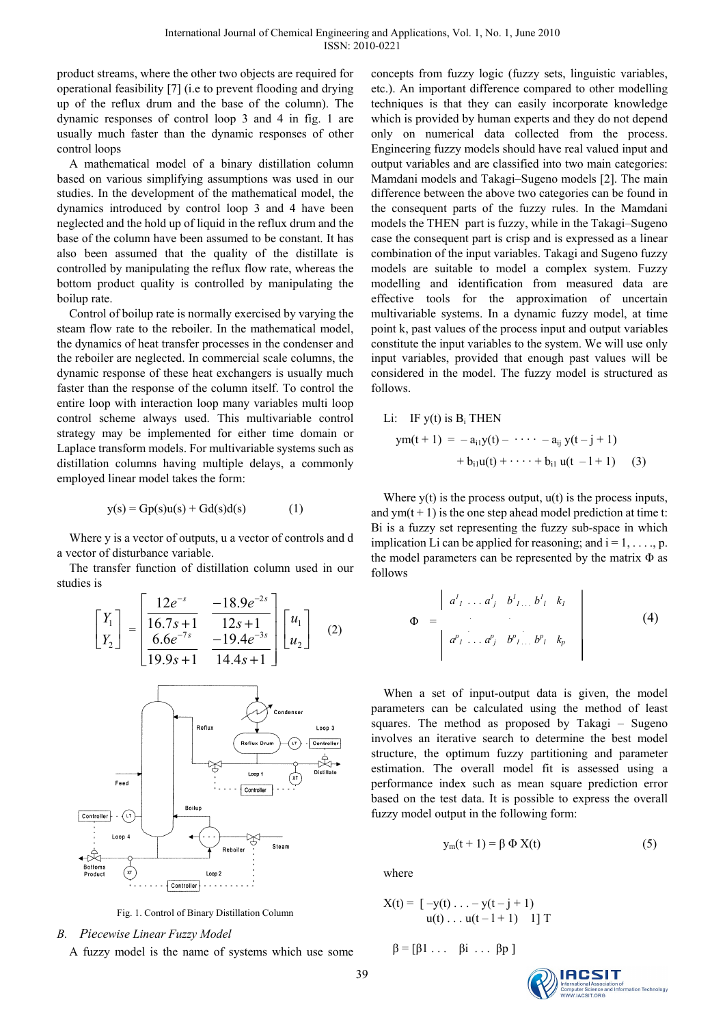product streams, where the other two objects are required for operational feasibility [7] (i.e to prevent flooding and drying up of the reflux drum and the base of the column). The dynamic responses of control loop 3 and 4 in fig. 1 are usually much faster than the dynamic responses of other control loops

A mathematical model of a binary distillation column based on various simplifying assumptions was used in our studies. In the development of the mathematical model, the dynamics introduced by control loop 3 and 4 have been neglected and the hold up of liquid in the reflux drum and the base of the column have been assumed to be constant. It has also been assumed that the quality of the distillate is controlled by manipulating the reflux flow rate, whereas the bottom product quality is controlled by manipulating the boilup rate.

Control of boilup rate is normally exercised by varying the steam flow rate to the reboiler. In the mathematical model, the dynamics of heat transfer processes in the condenser and the reboiler are neglected. In commercial scale columns, the dynamic response of these heat exchangers is usually much faster than the response of the column itself. To control the entire loop with interaction loop many variables multi loop control scheme always used. This multivariable control strategy may be implemented for either time domain or Laplace transform models. For multivariable systems such as distillation columns having multiple delays, a commonly employed linear model takes the form:

$$
y(s) = Gp(s)u(s) + Gd(s)d(s)
$$
 (1)

Where y is a vector of outputs, u a vector of controls and d a vector of disturbance variable.

The transfer function of distillation column used in our studies is

$$
\begin{bmatrix} Y_1 \\ Y_2 \end{bmatrix} = \begin{bmatrix} \frac{12e^{-s}}{16.7s+1} & \frac{-18.9e^{-2s}}{12s+1} \\ \frac{6.6e^{-7s}}{19.9s+1} & \frac{-19.4e^{-3s}}{14.4s+1} \end{bmatrix} \begin{bmatrix} u_1 \\ u_2 \end{bmatrix}
$$
 (2)



Fig. 1. Control of Binary Distillation Column

# *B. Piecewise Linear Fuzzy Model*

A fuzzy model is the name of systems which use some

concepts from fuzzy logic (fuzzy sets, linguistic variables, etc.). An important difference compared to other modelling techniques is that they can easily incorporate knowledge which is provided by human experts and they do not depend only on numerical data collected from the process. Engineering fuzzy models should have real valued input and output variables and are classified into two main categories: Mamdani models and Takagi–Sugeno models [2]. The main difference between the above two categories can be found in the consequent parts of the fuzzy rules. In the Mamdani models the THEN part is fuzzy, while in the Takagi–Sugeno case the consequent part is crisp and is expressed as a linear combination of the input variables. Takagi and Sugeno fuzzy models are suitable to model a complex system. Fuzzy modelling and identification from measured data are effective tools for the approximation of uncertain multivariable systems. In a dynamic fuzzy model, at time point k, past values of the process input and output variables constitute the input variables to the system. We will use only input variables, provided that enough past values will be considered in the model. The fuzzy model is structured as follows.

Li: IF  $y(t)$  is  $B_i$  THEN  $ym(t + 1) = -a_{i1}y(t) - \cdots - a_{ii}y(t - j + 1)$  $+ b_{i1}u(t) + \cdots + b_{i1}u(t - 1 + 1)$  (3)

Where  $y(t)$  is the process output,  $u(t)$  is the process inputs, and  $ym(t + 1)$  is the one step ahead model prediction at time t: Bi is a fuzzy set representing the fuzzy sub-space in which implication Li can be applied for reasoning; and  $i = 1, \ldots, p$ . the model parameters can be represented by the matrix  $\Phi$  as follows

$$
\Phi = \begin{vmatrix} a^{1}_{1} & a^{1}_{j} & b^{1}_{1} & b^{1}_{1} & k_{1} \\ a^{p}_{1} & a^{p}_{j} & b^{p}_{1} & b^{p}_{1} & k_{p} \end{vmatrix}
$$
 (4)

When a set of input-output data is given, the model parameters can be calculated using the method of least squares. The method as proposed by Takagi – Sugeno involves an iterative search to determine the best model structure, the optimum fuzzy partitioning and parameter estimation. The overall model fit is assessed using a performance index such as mean square prediction error based on the test data. It is possible to express the overall fuzzy model output in the following form:

$$
y_m(t+1) = \beta \Phi X(t) \tag{5}
$$

where

$$
X(t) = [ -y(t) \dots - y(t - j + 1) u(t) \dots u(t - l + 1) \quad 1 ] T
$$

$$
\beta = [\beta 1 \ldots \beta i \ldots \beta p]
$$

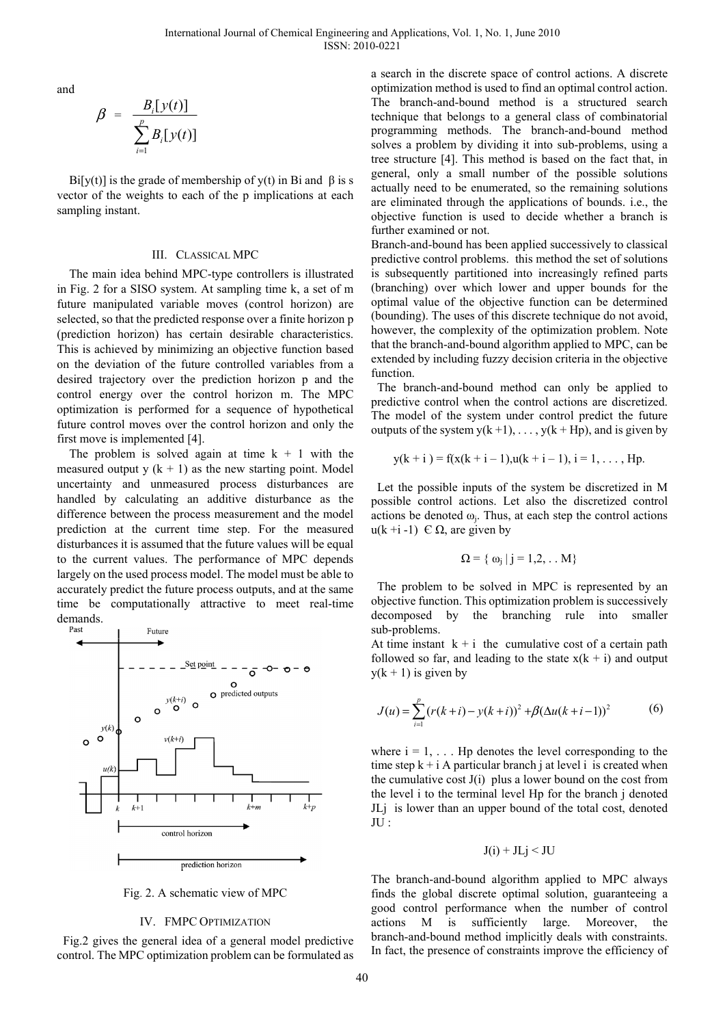and

$$
\beta = \frac{B_i[y(t)]}{\sum_{i=1}^p B_i[y(t)]}
$$

Bi[y(t)] is the grade of membership of y(t) in Bi and  $\beta$  is s vector of the weights to each of the p implications at each sampling instant.

#### III. CLASSICAL MPC

The main idea behind MPC-type controllers is illustrated in Fig. 2 for a SISO system. At sampling time k, a set of m future manipulated variable moves (control horizon) are selected, so that the predicted response over a finite horizon p (prediction horizon) has certain desirable characteristics. This is achieved by minimizing an objective function based on the deviation of the future controlled variables from a desired trajectory over the prediction horizon p and the control energy over the control horizon m. The MPC optimization is performed for a sequence of hypothetical future control moves over the control horizon and only the first move is implemented [4].

The problem is solved again at time  $k + 1$  with the measured output y  $(k + 1)$  as the new starting point. Model uncertainty and unmeasured process disturbances are handled by calculating an additive disturbance as the difference between the process measurement and the model prediction at the current time step. For the measured disturbances it is assumed that the future values will be equal to the current values. The performance of MPC depends largely on the used process model. The model must be able to accurately predict the future process outputs, and at the same time be computationally attractive to meet real-time demands.



Fig. 2. A schematic view of MPC

#### IV. FMPC OPTIMIZATION

 Fig.2 gives the general idea of a general model predictive control. The MPC optimization problem can be formulated as a search in the discrete space of control actions. A discrete optimization method is used to find an optimal control action. The branch-and-bound method is a structured search technique that belongs to a general class of combinatorial programming methods. The branch-and-bound method solves a problem by dividing it into sub-problems, using a tree structure [4]. This method is based on the fact that, in general, only a small number of the possible solutions actually need to be enumerated, so the remaining solutions are eliminated through the applications of bounds. i.e., the objective function is used to decide whether a branch is further examined or not.

Branch-and-bound has been applied successively to classical predictive control problems. this method the set of solutions is subsequently partitioned into increasingly refined parts (branching) over which lower and upper bounds for the optimal value of the objective function can be determined (bounding). The uses of this discrete technique do not avoid, however, the complexity of the optimization problem. Note that the branch-and-bound algorithm applied to MPC, can be extended by including fuzzy decision criteria in the objective function.

 The branch-and-bound method can only be applied to predictive control when the control actions are discretized. The model of the system under control predict the future outputs of the system  $y(k+1), \ldots, y(k+Hp)$ , and is given by

$$
y(k + i) = f(x(k + i - 1)), u(k + i - 1), i = 1, ..., Hp.
$$

 Let the possible inputs of the system be discretized in M possible control actions. Let also the discretized control actions be denoted  $\omega_i$ . Thus, at each step the control actions u(k +i -1)  $\in$  Ω, are given by

$$
\Omega = \{ \omega_j \mid j = 1, 2, \ldots M \}
$$

 The problem to be solved in MPC is represented by an objective function. This optimization problem is successively decomposed by the branching rule into smaller sub-problems.

At time instant  $k + i$  the cumulative cost of a certain path followed so far, and leading to the state  $x(k + i)$  and output  $y(k + 1)$  is given by

$$
J(u) = \sum_{i=1}^{p} (r(k+i) - y(k+i))^{2} + \beta(\Delta u(k+i-1))^{2}
$$
 (6)

where  $i = 1, \ldots$  Hp denotes the level corresponding to the time step  $k + i A$  particular branch j at level i is created when the cumulative cost  $J(i)$  plus a lower bound on the cost from the level i to the terminal level Hp for the branch j denoted JLj is lower than an upper bound of the total cost, denoted  $\prod$   $\prod$   $\cdot$ 

$$
J(i) + JLj < JU
$$

The branch-and-bound algorithm applied to MPC always finds the global discrete optimal solution, guaranteeing a good control performance when the number of control actions M is sufficiently large. Moreover, the branch-and-bound method implicitly deals with constraints. In fact, the presence of constraints improve the efficiency of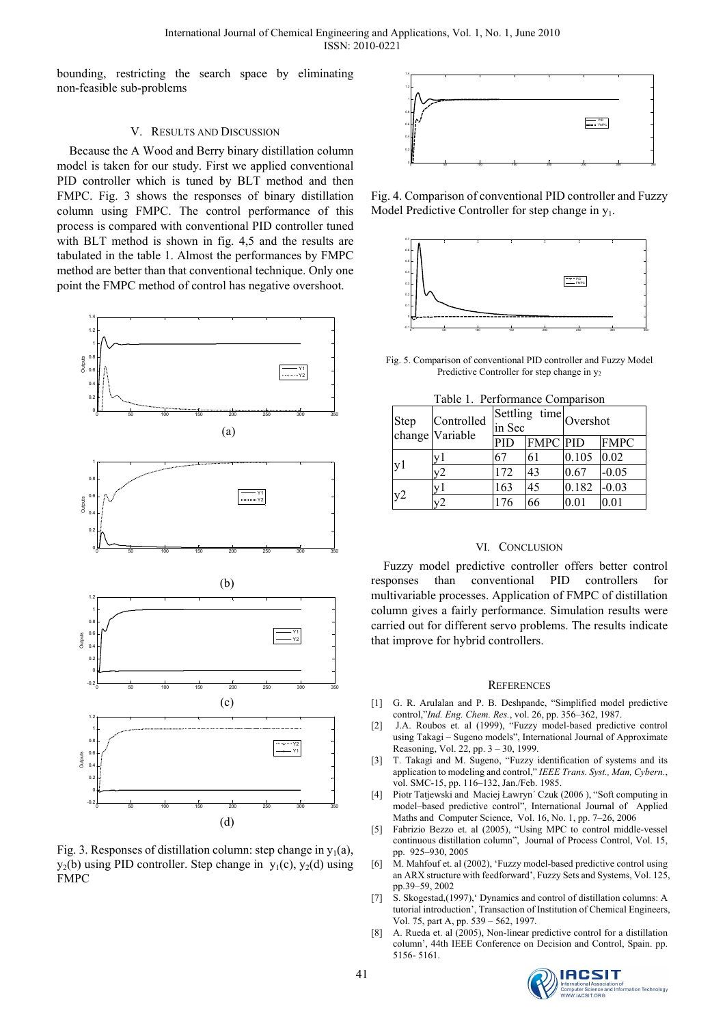bounding, restricting the search space by eliminating non-feasible sub-problems

# V. RESULTS AND DISCUSSION

Because the A Wood and Berry binary distillation column model is taken for our study. First we applied conventional PID controller which is tuned by BLT method and then FMPC. Fig. 3 shows the responses of binary distillation column using FMPC. The control performance of this process is compared with conventional PID controller tuned with BLT method is shown in fig. 4,5 and the results are tabulated in the table 1. Almost the performances by FMPC method are better than that conventional technique. Only one point the FMPC method of control has negative overshoot.



Fig. 3. Responses of distillation column: step change in  $y_1(a)$ ,  $y_2(b)$  using PID controller. Step change in  $y_1(c)$ ,  $y_2(d)$  using FMPC



Fig. 4. Comparison of conventional PID controller and Fuzzy Model Predictive Controller for step change in  $y_1$ .



Fig. 5. Comparison of conventional PID controller and Fuzzy Model Predictive Controller for step change in  $y_2$ 

| Table 1. Performance Comparison |  |
|---------------------------------|--|
|                                 |  |

| <b>Step</b>    | Controlled<br>change Variable | Settling time Overshot<br>in Sec |                 |       |             |
|----------------|-------------------------------|----------------------------------|-----------------|-------|-------------|
|                |                               | PID                              | <b>FMPC PID</b> |       | <b>FMPC</b> |
| v <sub>1</sub> | v1                            | 67                               | 61              | 0.105 | 0.02        |
|                | v2                            | 172                              | 43              | 0.67  | $-0.05$     |
| y2             | v1                            | 163                              | 45              | 0.182 | $-0.03$     |
|                | $\sqrt{2}$                    | 176                              | 66              | 0.01  | 0.01        |

## VI. CONCLUSION

Fuzzy model predictive controller offers better control responses than conventional PID controllers for multivariable processes. Application of FMPC of distillation column gives a fairly performance. Simulation results were carried out for different servo problems. The results indicate that improve for hybrid controllers.

#### **REFERENCES**

- [1] G. R. Arulalan and P. B. Deshpande, "Simplified model predictive control,"*Ind. Eng. Chem. Res.*, vol. 26, pp. 356–362, 1987.
- [2] J.A. Roubos et. al (1999), "Fuzzy model-based predictive control using Takagi – Sugeno models", International Journal of Approximate Reasoning, Vol. 22, pp. 3 – 30, 1999.
- [3] T. Takagi and M. Sugeno, "Fuzzy identification of systems and its application to modeling and control," *IEEE Trans. Syst., Man, Cybern.*, vol. SMC-15, pp. 116–132, Jan./Feb. 1985.
- [4] Piotr Tatjewski and Maciej Ławryn´ Czuk (2006 ), "Soft computing in model–based predictive control", International Journal of Applied Maths and Computer Science, Vol. 16, No. 1, pp. 7–26, 2006
- [5] Fabrizio Bezzo et. al (2005), "Using MPC to control middle-vessel continuous distillation column", Journal of Process Control, Vol. 15, pp. 925–930, 2005
- [6] M. Mahfouf et. al (2002), 'Fuzzy model-based predictive control using an ARX structure with feedforward', Fuzzy Sets and Systems, Vol. 125, pp.39–59, 2002
- [7] S. Skogestad,(1997),' Dynamics and control of distillation columns: A tutorial introduction', Transaction of Institution of Chemical Engineers, Vol. 75, part A, pp. 539 – 562, 1997.
- [8] A. Rueda et. al (2005), Non-linear predictive control for a distillation column', 44th IEEE Conference on Decision and Control, Spain. pp. 5156- 5161.